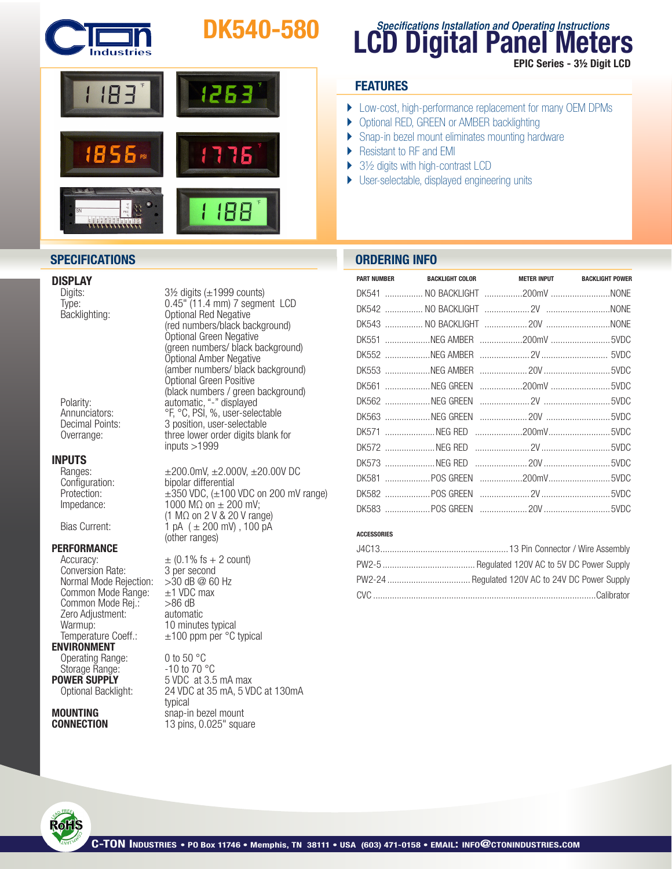

# DK540-580



# **DISPLAY**<br>Digits:

# **INPUTS**<br>Ranges:

**PERFORMANCE**<br>Accuracy:

Conversion Rate: 3 per second<br>Normal Mode Reiection: > 30 dB @ 60 Hz Normal Mode Rejection:  $>30$  dB @ 60<br>Common Mode Range:  $\pm 1$  VDC max Common Mode Range:  $\pm 1$  VDC<br>Common Mode Rei.:  $>86$  dB Common Mode Rej.:  $>86$  dB<br>Zero Adiustment: automatic Zero Adjustment: Warmup:  $10$  minutes typical<br>Temperature Coeff.:  $\pm 100$  ppm per  $^{\circ}$ C **ENVIRONMENT** 

Operating Range: 0 to 50 °C<br>Storage Range: -10 to 70 °C Storage Range:<br>**POWER SUPPLY** 

typical<br>**MOUNTING** snap-ii

 $3\frac{1}{2}$  digits ( $\pm$ 1999 counts) Type: 0.45" (11.4 mm) 7 segment LCD<br>Backlighting: 0ptional Red Negative Backlighting:<br>
(red numbers/black background)<br>
Optional Green Negative<br>
(green numbers/ black background)<br>
Optional Amber Negative<br>
(amber numbers/ black background)<br>
Optional Green Positive<br>
(black numbers / green backgro Polarity: automatic,"-" displayed Annunciators: °F, °C, PSI, %, user-selectable 3 position, user-selectable Overrange: three lower order digits blank for inputs >1999

Ranges:  $±200.0mV, ±2.000V, ±20.00V$  DC<br>Configuration: bipolar differential Configuration: bipolar differential<br>Protection:  $\pm 350 \text{ VDC}, (\pm 100$  $\pm 350$  VDC, ( $\pm 100$  VDC on 200 mV range) Impedance:  $1000 \text{ M}\Omega \text{ on } \pm 200 \text{ mV};$  $(1 M\Omega)$  on 2 V & 20 V range) Bias Current:  $\hat{1}$  pA ( $\pm$  200 mV), 100 pA (other ranges)

> $\pm$  (0.1% fs + 2 count)  $±100$  ppm per  $°C$  typical

**OWER SUPPLY** 5 VDC at 3.5 mA max<br>Optional Backlight: 24 VDC at 35 mA, 5 VD 24 VDC at 35 mA, 5 VDC at 130mA **MOUNTING** snap-in bezel mount<br> **CONNECTION** 13 pins. 0.025" squa  $13$  pins,  $0.025$ " square

# **LCD Digital Panel Meters Specifications Installation and Operating Instructions** EPIC Series - 3½ Digit LCD

## **FEATURES**

- } Low-cost, high-performance replacement for many OEM DPMs
- ▶ Optional RED, GREEN or AMBER backlighting
- ▶ Snap-in bezel mount eliminates mounting hardware
- ▶ Resistant to RF and EMI
- $\blacktriangleright$  3½ digits with high-contrast LCD
- } User-selectable, displayed engineering units

### **SPECIFICATIONS ORDERING INFO**

|  | PART NUMBER BACKLIGHT COLOR METER INPUT BACKLIGHT POWER |  |
|--|---------------------------------------------------------|--|
|  | DK541  NO BACKLIGHT 200mV NONE                          |  |
|  |                                                         |  |
|  |                                                         |  |
|  | DK551 NEG AMBER 200mV 5VDC                              |  |
|  |                                                         |  |
|  |                                                         |  |
|  | DK561 NEG GREEN 200mV 5VDC                              |  |
|  |                                                         |  |
|  |                                                         |  |
|  |                                                         |  |
|  |                                                         |  |
|  |                                                         |  |
|  |                                                         |  |
|  |                                                         |  |
|  |                                                         |  |

#### ACCESSORIES